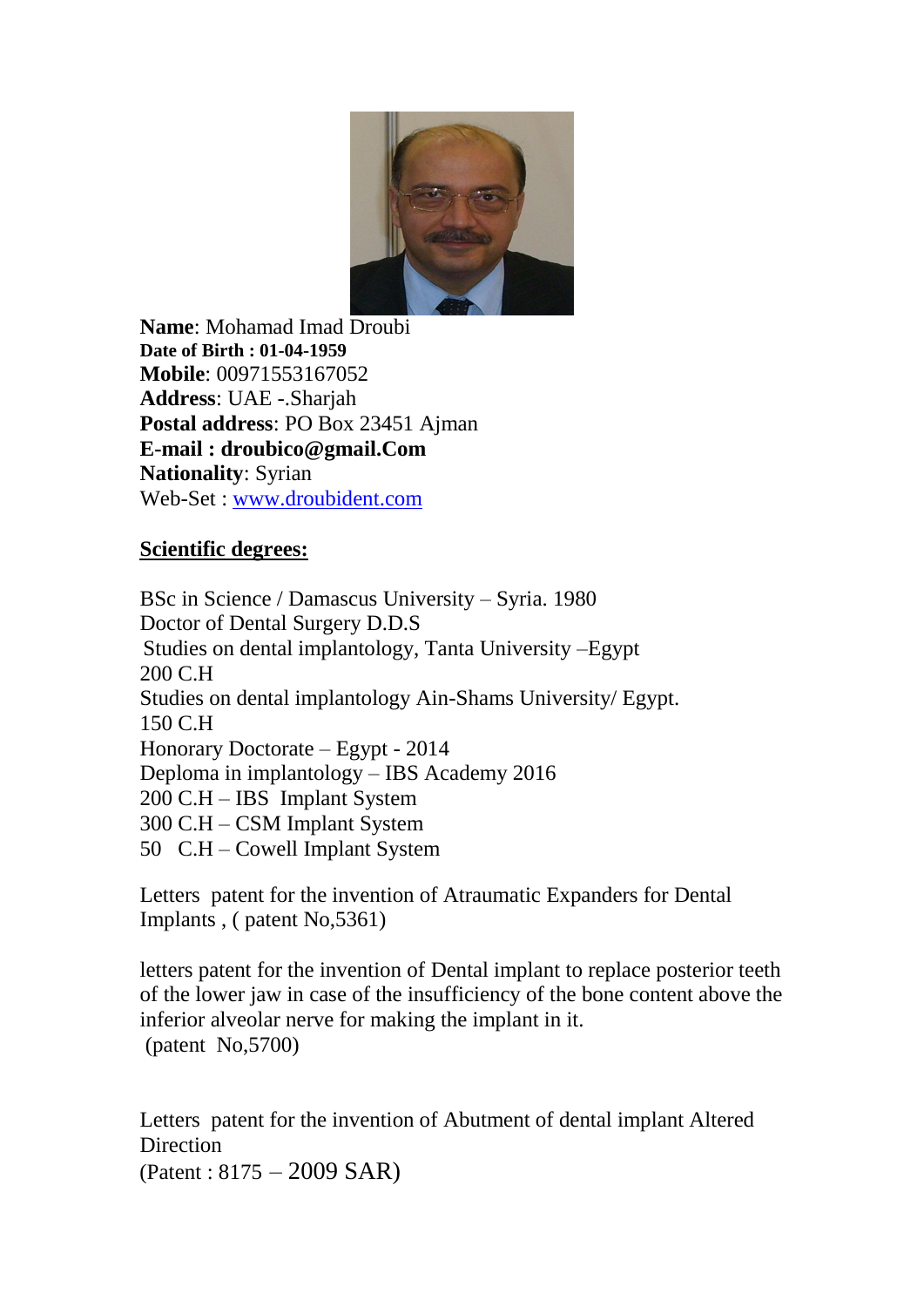

**Name**: Mohamad Imad Droubi **Date of Birth : 01-04-1959 Mobile**: 00971553167052 **Address**: UAE -.Sharjah **Postal address**: PO Box 23451 Ajman **E-mail : droubico@gmail.Com Nationality**: Syrian Web-Set : [www.droubident.com](http://www.droubident.com/)

# **Scientific degrees:**

BSc in Science / Damascus University – Syria. 1980 Doctor of Dental Surgery D.D.S Studies on dental implantology, Tanta University –Egypt 200 C.H Studies on dental implantology Ain-Shams University/ Egypt. 150 C.H Honorary Doctorate – Egypt - 2014 Deploma in implantology – IBS Academy 2016 200 C.H – IBS Implant System 300 C.H – CSM Implant System 50 C.H – Cowell Implant System

Letters patent for the invention of Atraumatic Expanders for Dental Implants , ( patent No,5361)

letters patent for the invention of Dental implant to replace posterior teeth of the lower jaw in case of the insufficiency of the bone content above the inferior alveolar nerve for making the implant in it. (patent No,5700)

Letters patent for the invention of Abutment of dental implant Altered **Direction** (Patent : 8175 – 2009 SAR)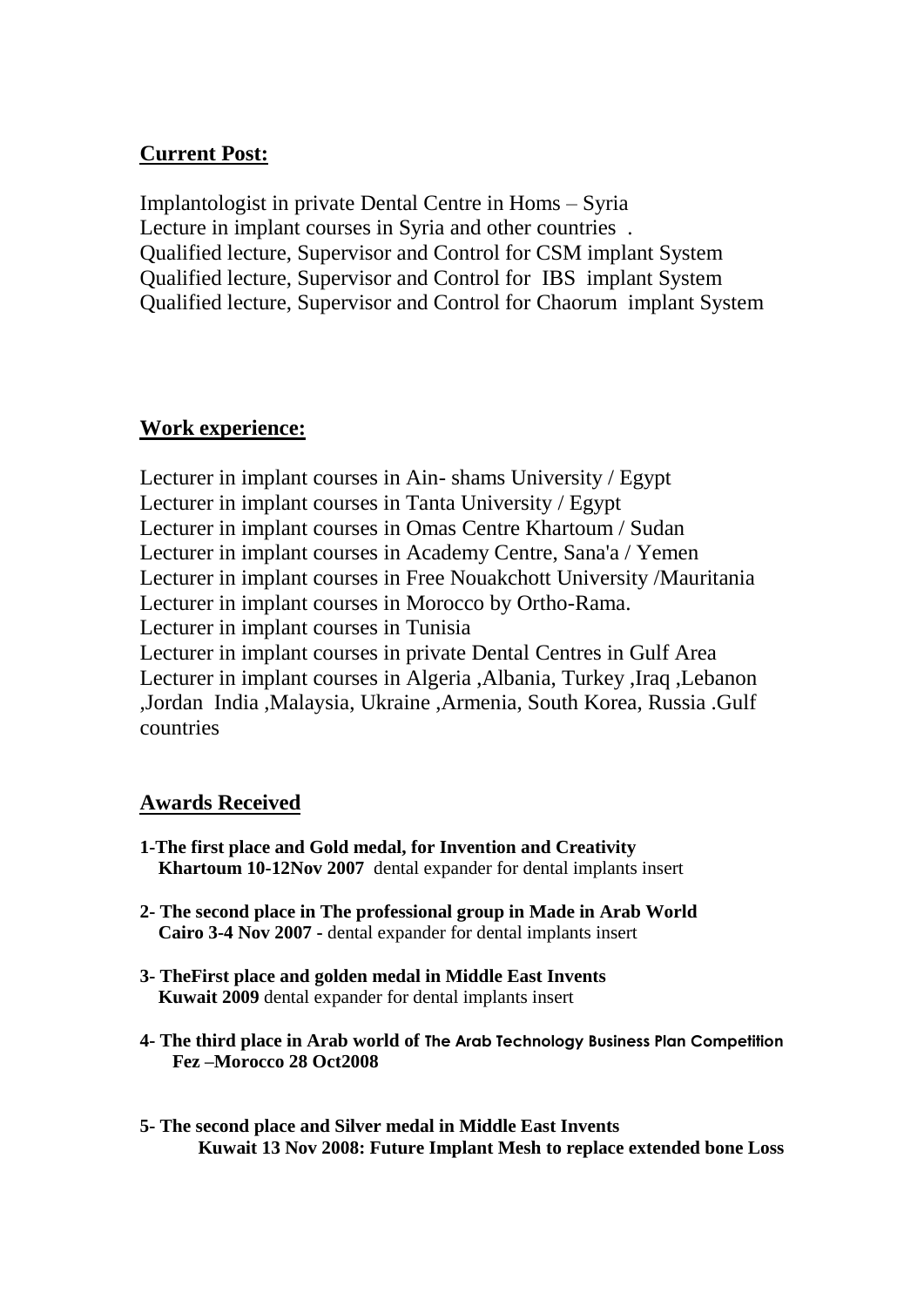# **Current Post:**

Implantologist in private Dental Centre in Homs – Syria Lecture in implant courses in Syria and other countries . Qualified lecture, Supervisor and Control for CSM implant System Qualified lecture, Supervisor and Control for IBS implant System Qualified lecture, Supervisor and Control for Chaorum implant System

### **Work experience:**

Lecturer in implant courses in Ain- shams University / Egypt Lecturer in implant courses in Tanta University / Egypt Lecturer in implant courses in Omas Centre Khartoum / Sudan Lecturer in implant courses in Academy Centre, Sana'a / Yemen Lecturer in implant courses in Free Nouakchott University /Mauritania Lecturer in implant courses in Morocco by Ortho-Rama. Lecturer in implant courses in Tunisia Lecturer in implant courses in private Dental Centres in Gulf Area Lecturer in implant courses in Algeria ,Albania, Turkey ,Iraq ,Lebanon ,Jordan India ,Malaysia, Ukraine ,Armenia, South Korea, Russia .Gulf countries

### **Awards Received**

- **1-The first place and Gold medal, for Invention and Creativity Khartoum 10-12Nov 2007** dental expander for dental implants insert
- **2- The second place in The professional group in Made in Arab World Cairo 3-4 Nov 2007 -** dental expander for dental implants insert
- **3- TheFirst place and golden medal in Middle East Invents Kuwait 2009** dental expander for dental implants insert
- **4- The third place in Arab world of The Arab Technology Business Plan Competition Fez –Morocco 28 Oct2008**
- **5- The second place and Silver medal in Middle East Invents Kuwait 13 Nov 2008: Future Implant Mesh to replace extended bone Loss**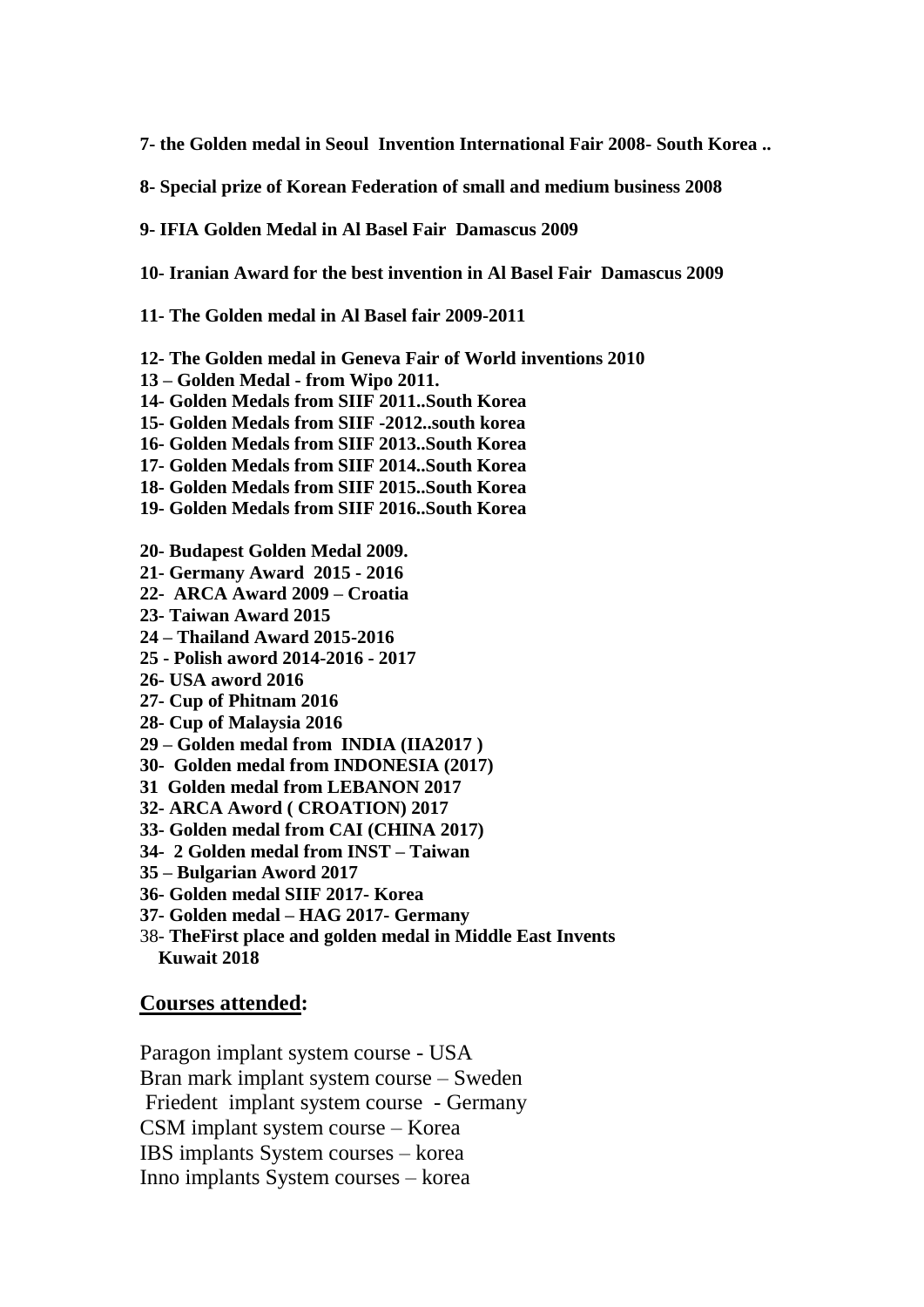**7- the Golden medal in Seoul Invention International Fair 2008- South Korea ..**

**8- Special prize of Korean Federation of small and medium business 2008**

**9- IFIA Golden Medal in Al Basel Fair Damascus 2009**

**10- Iranian Award for the best invention in Al Basel Fair Damascus 2009**

**11- The Golden medal in Al Basel fair 2009-2011**

**12- The Golden medal in Geneva Fair of World inventions 2010**

- **13 – Golden Medal - from Wipo 2011.**
- **14- Golden Medals from SIIF 2011..South Korea**
- **15- Golden Medals from SIIF -2012..south korea**
- **16- Golden Medals from SIIF 2013..South Korea**
- **17- Golden Medals from SIIF 2014..South Korea**
- **18- Golden Medals from SIIF 2015..South Korea**
- **19- Golden Medals from SIIF 2016..South Korea**
- **20- Budapest Golden Medal 2009.**
- **21- Germany Award 2015 - 2016**
- **22- ARCA Award 2009 – Croatia**
- **23- Taiwan Award 2015**
- **24 – Thailand Award 2015-2016**
- **25 - Polish aword 2014-2016 - 2017**
- **26- USA aword 2016**
- **27- Cup of Phitnam 2016**
- **28- Cup of Malaysia 2016**
- **29 – Golden medal from INDIA (IIA2017 )**
- **30- Golden medal from INDONESIA (2017)**
- **31 Golden medal from LEBANON 2017**
- **32- ARCA Aword ( CROATION) 2017**
- **33- Golden medal from CAI (CHINA 2017)**
- **34- 2 Golden medal from INST – Taiwan**
- **35 – Bulgarian Aword 2017**
- **36- Golden medal SIIF 2017- Korea**
- **37- Golden medal – HAG 2017- Germany**
- 38- **TheFirst place and golden medal in Middle East Invents Kuwait 2018**

#### **Courses attended:**

Paragon implant system course - USA Bran mark implant system course – Sweden Friedent implant system course - Germany CSM implant system course – Korea IBS implants System courses – korea Inno implants System courses – korea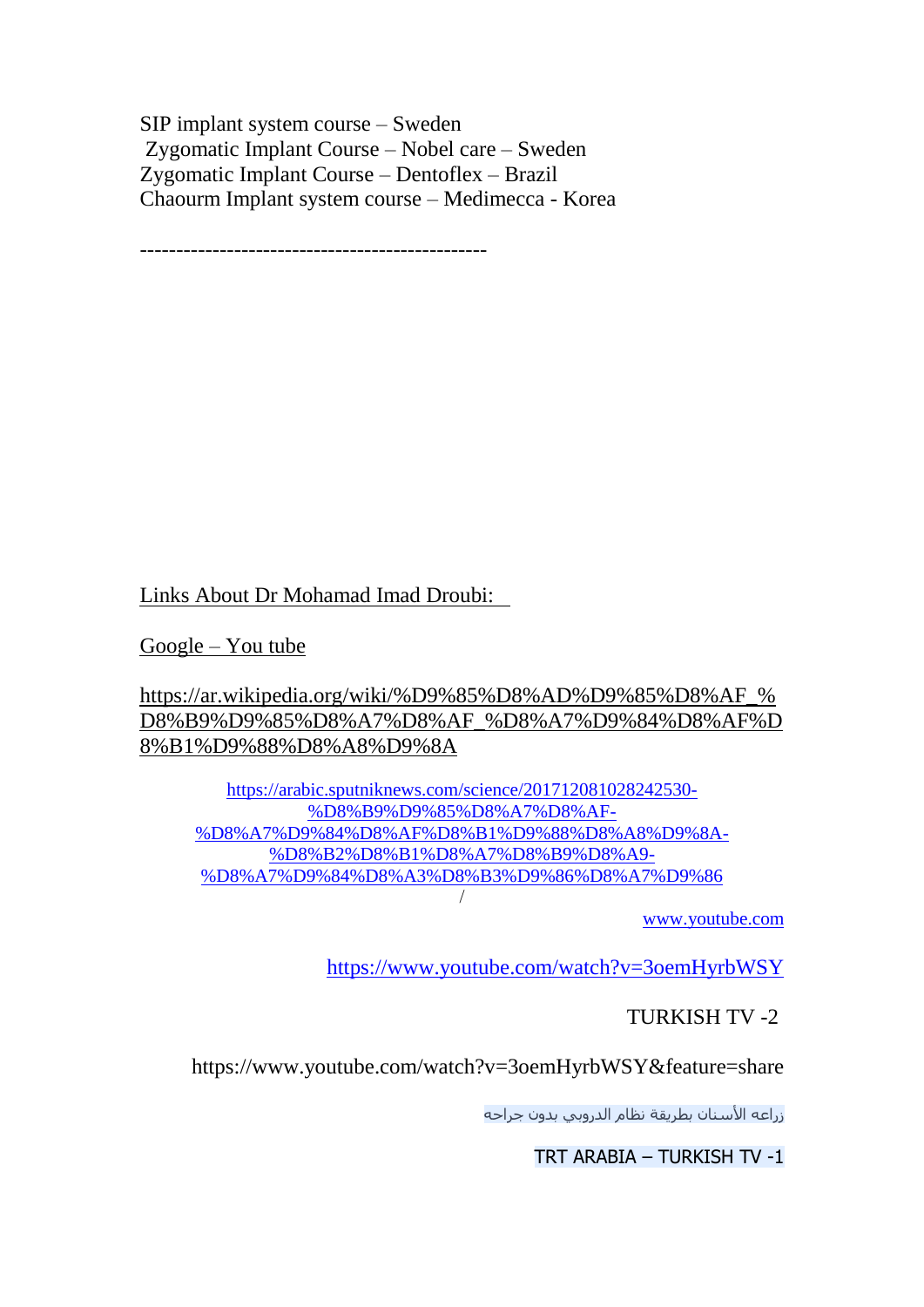SIP implant system course – Sweden Zygomatic Implant Course – Nobel care – Sweden Zygomatic Implant Course – Dentoflex – Brazil Chaourm Implant system course – Medimecca - Korea

------------------------------------------------

Links About Dr Mohamad Imad Droubi:

Google – You tube

https://ar.wikipedia.org/wiki/%D9%85%D8%AD%D9%85%D8%AF\_% D8%B9%D9%85%D8%A7%D8%AF\_%D8%A7%D9%84%D8%AF%D 8%B1%D9%88%D8%A8%D9%8A

[https://arabic.sputniknews.com/science/201712081028242530-](https://arabic.sputniknews.com/science/201712081028242530-%D8%B9%D9%85%D8%A7%D8%AF-%D8%A7%D9%84%D8%AF%D8%B1%D9%88%D8%A8%D9%8A-%D8%B2%D8%B1%D8%A7%D8%B9%D8%A9-%D8%A7%D9%84%D8%A3%D8%B3%D9%86%D8%A7%D9%86) [%D8%B9%D9%85%D8%A7%D8%AF-](https://arabic.sputniknews.com/science/201712081028242530-%D8%B9%D9%85%D8%A7%D8%AF-%D8%A7%D9%84%D8%AF%D8%B1%D9%88%D8%A8%D9%8A-%D8%B2%D8%B1%D8%A7%D8%B9%D8%A9-%D8%A7%D9%84%D8%A3%D8%B3%D9%86%D8%A7%D9%86) [%D8%A7%D9%84%D8%AF%D8%B1%D9%88%D8%A8%D9%8A-](https://arabic.sputniknews.com/science/201712081028242530-%D8%B9%D9%85%D8%A7%D8%AF-%D8%A7%D9%84%D8%AF%D8%B1%D9%88%D8%A8%D9%8A-%D8%B2%D8%B1%D8%A7%D8%B9%D8%A9-%D8%A7%D9%84%D8%A3%D8%B3%D9%86%D8%A7%D9%86) [%D8%B2%D8%B1%D8%A7%D8%B9%D8%A9-](https://arabic.sputniknews.com/science/201712081028242530-%D8%B9%D9%85%D8%A7%D8%AF-%D8%A7%D9%84%D8%AF%D8%B1%D9%88%D8%A8%D9%8A-%D8%B2%D8%B1%D8%A7%D8%B9%D8%A9-%D8%A7%D9%84%D8%A3%D8%B3%D9%86%D8%A7%D9%86) [%D8%A7%D9%84%D8%A3%D8%B3%D9%86%D8%A7%D9%86](https://arabic.sputniknews.com/science/201712081028242530-%D8%B9%D9%85%D8%A7%D8%AF-%D8%A7%D9%84%D8%AF%D8%B1%D9%88%D8%A8%D9%8A-%D8%B2%D8%B1%D8%A7%D8%B9%D8%A9-%D8%A7%D9%84%D8%A3%D8%B3%D9%86%D8%A7%D9%86) /

[www.youtube.com](http://www.youtube.com/)

<https://www.youtube.com/watch?v=3oemHyrbWSY>

# TURKISH TV -2

https://www.youtube.com/watch?v=3oemHyrbWSY&feature=share

زراعه الأسنان بطريقة نظام الدروبي بدون جراحه

TRT ARABIA – TURKISH TV -1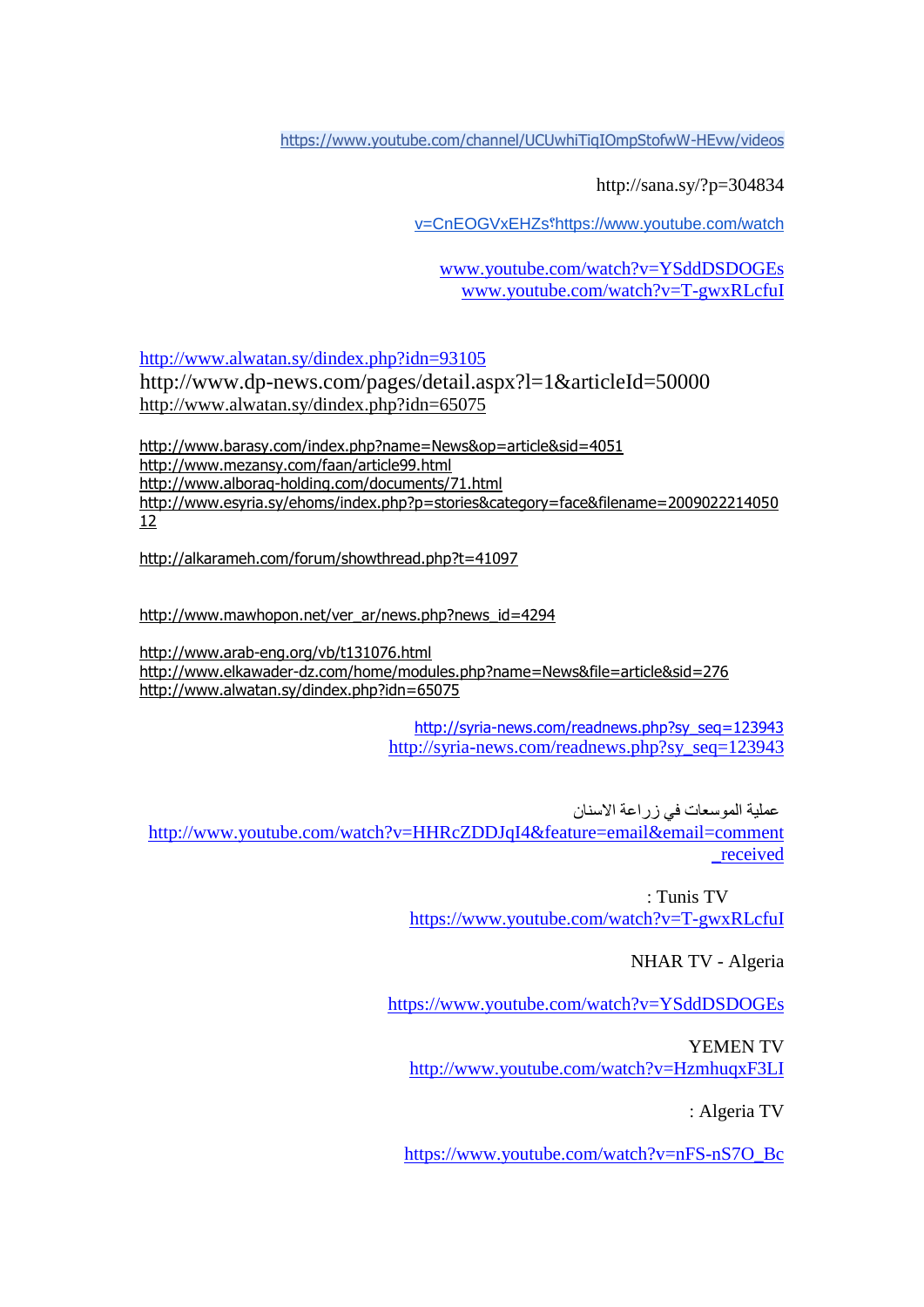<https://www.youtube.com/channel/UCUwhiTiqIOmpStofwW-HEvw/videos>

http://sana.sy/?p=304834

[v=CnEOGVxEHZs?https://www.youtube.com/watch](https://www.youtube.com/watch?v=CnEOGVxEHZs)

[www.youtube.com/watch?v=YSddDSDOGEs](http://www.youtube.com/watch?v=YSddDSDOGEs) [www.youtube.com/watch?v=T-gwxRLcfuI](http://www.youtube.com/watch?v=T-gwxRLcfuI)

<http://www.alwatan.sy/dindex.php?idn=93105>

http://www.dp-news.com/pages/detail.aspx?l=1&articleId=50000 <http://www.alwatan.sy/dindex.php?idn=65075>

<http://www.barasy.com/index.php?name=News&op=article&sid=4051> <http://www.mezansy.com/faan/article99.html> <http://www.alboraq-holding.com/documents/71.html> [http://www.esyria.sy/ehoms/index.php?p=stories&category=face&filename=2009022214050](http://www.esyria.sy/ehoms/index.php?p=stories&category=face&filename=200902221405012) [12](http://www.esyria.sy/ehoms/index.php?p=stories&category=face&filename=200902221405012)

<http://alkarameh.com/forum/showthread.php?t=41097>

[http://www.mawhopon.net/ver\\_ar/news.php?news\\_id=4294](http://www.mawhopon.net/ver_ar/news.php?news_id=4294)

<http://www.arab-eng.org/vb/t131076.html> <http://www.elkawader-dz.com/home/modules.php?name=News&file=article&sid=276> <http://www.alwatan.sy/dindex.php?idn=65075>

> [http://syria-news.com/readnews.php?sy\\_seq=123943](http://syria-news.com/readnews.php?sy_seq=123943) [http://syria-news.com/readnews.php?sy\\_seq=123943](http://syria-news.com/readnews.php?sy_seq=123943)

عملية الموسعات في زراعة االسنان [http://www.youtube.com/watch?v=HHRcZDDJqI4&feature=email&email=comment](http://www.youtube.com/watch?v=HHRcZDDJqI4&feature=email&email=comment_received) [\\_received](http://www.youtube.com/watch?v=HHRcZDDJqI4&feature=email&email=comment_received)

> : Tunis TV <https://www.youtube.com/watch?v=T-gwxRLcfuI>

> > NHAR TV - Algeria

<https://www.youtube.com/watch?v=YSddDSDOGEs>

YEMEN TV <http://www.youtube.com/watch?v=HzmhuqxF3LI>

: Algeria TV

[https://www.youtube.com/watch?v=nFS-nS7O\\_Bc](https://www.youtube.com/watch?v=nFS-nS7O_Bc)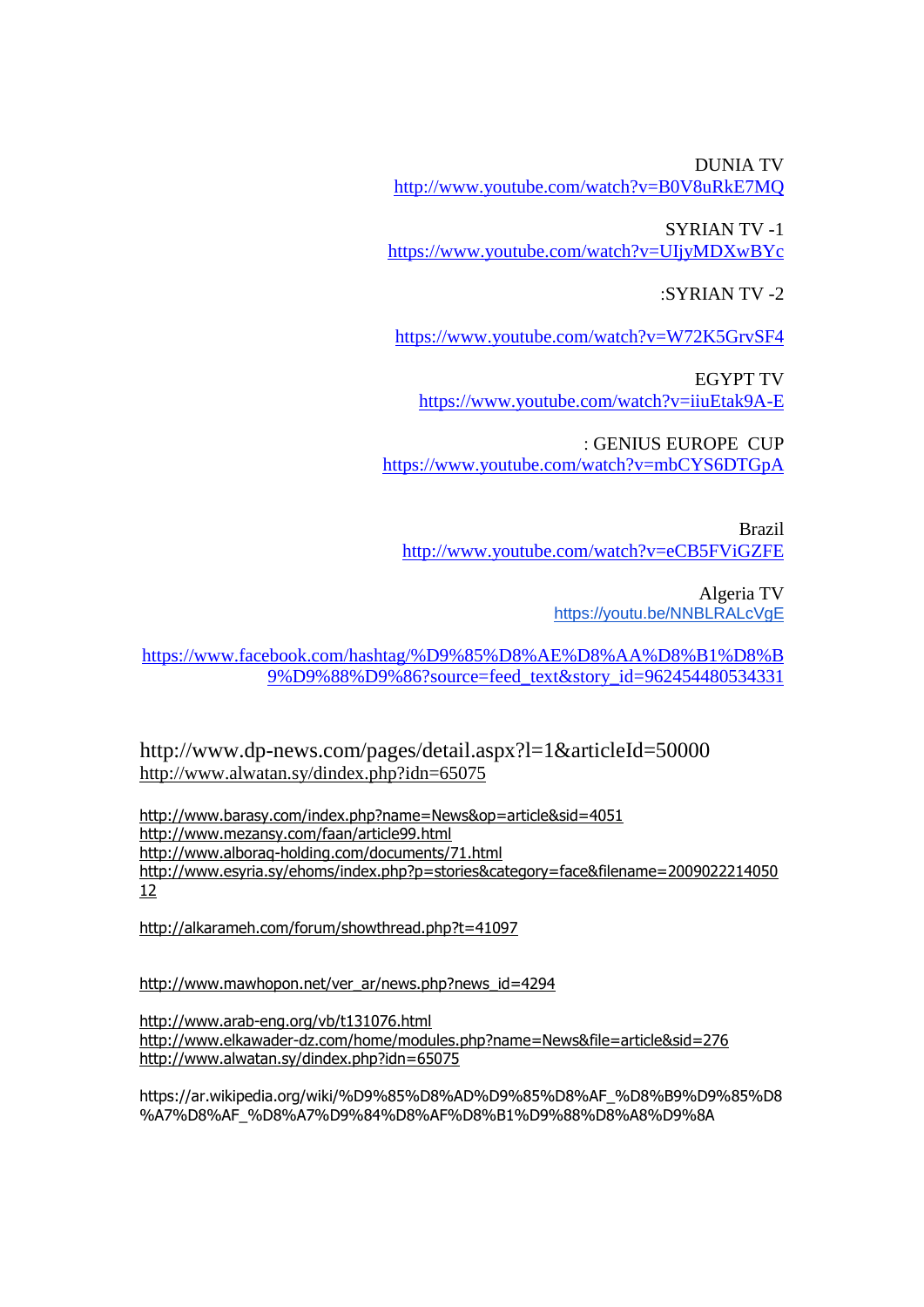DUNIA TV <http://www.youtube.com/watch?v=B0V8uRkE7MQ>

SYRIAN TV -1 <https://www.youtube.com/watch?v=UIjyMDXwBYc>

:SYRIAN TV -2

<https://www.youtube.com/watch?v=W72K5GrvSF4>

EGYPT TV <https://www.youtube.com/watch?v=iiuEtak9A-E>

: GENIUS EUROPE CUP <https://www.youtube.com/watch?v=mbCYS6DTGpA>

Brazil <http://www.youtube.com/watch?v=eCB5FViGZFE>

> Algeria TV https://voutu.be/NNBLRALcVgE

[https://www.facebook.com/hashtag/%D9%85%D8%AE%D8%AA%D8%B1%D8%B](https://www.facebook.com/hashtag/%D9%85%D8%AE%D8%AA%D8%B1%D8%B9%D9%88%D9%86?source=feed_text&story_id=962454480534331) [9%D9%88%D9%86?source=feed\\_text&story\\_id=962454480534331](https://www.facebook.com/hashtag/%D9%85%D8%AE%D8%AA%D8%B1%D8%B9%D9%88%D9%86?source=feed_text&story_id=962454480534331)

http://www.dp-news.com/pages/detail.aspx?l=1&articleId=50000 <http://www.alwatan.sy/dindex.php?idn=65075>

<http://www.barasy.com/index.php?name=News&op=article&sid=4051> <http://www.mezansy.com/faan/article99.html> <http://www.alboraq-holding.com/documents/71.html> [http://www.esyria.sy/ehoms/index.php?p=stories&category=face&filename=2009022214050](http://www.esyria.sy/ehoms/index.php?p=stories&category=face&filename=200902221405012) [12](http://www.esyria.sy/ehoms/index.php?p=stories&category=face&filename=200902221405012)

<http://alkarameh.com/forum/showthread.php?t=41097>

[http://www.mawhopon.net/ver\\_ar/news.php?news\\_id=4294](http://www.mawhopon.net/ver_ar/news.php?news_id=4294)

<http://www.arab-eng.org/vb/t131076.html> <http://www.elkawader-dz.com/home/modules.php?name=News&file=article&sid=276> <http://www.alwatan.sy/dindex.php?idn=65075>

https://ar.wikipedia.org/wiki/%D9%85%D8%AD%D9%85%D8%AF\_%D8%B9%D9%85%D8 %A7%D8%AF\_%D8%A7%D9%84%D8%AF%D8%B1%D9%88%D8%A8%D9%8A